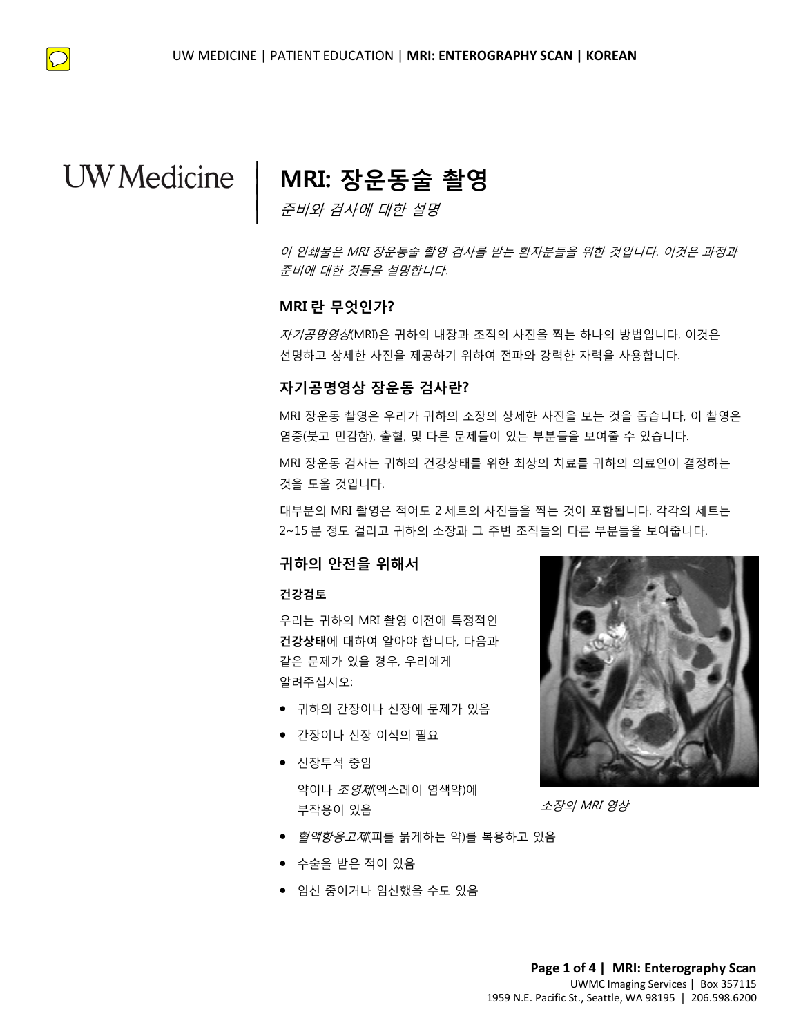$\bigcirc$ 

## **MRI: 장운동술 촬영**

준비와 검사에 대한 설명

이 인쇄물은 MRI 장운동술 촬영 검사를 받는 환자분들을 위한 것입니다. 이것은 과정과 준비에 대한 것들을 설명합니다.

### **MRI 란 무엇인가?**

|  $\vert$  $\vert$  $\vert$ 

**MRI 란 무엇인가?**<br>*자기공명영상*(MRI)은 귀하의 내장과 조직의 사진을 찍는 하나의 방법입니다. 이것은<br>선명하고 상세한 사진을 제공하기 위하여 전파와 강력한 자력을 사용합니다. *자기공명영상*(MRI)은 귀하의 내장과 조직의 사진을 찍는 하나의 방법입니다. 이것은 선명하고 상세한 사진을 제공하기 위하여 전파와 강력한 자력을 사용합니다.

### **자기공명영상 장운동 검사란?**

**자기공명영상 장운동 검사란?**<br>MRI 장운동 촬영은 우리가 귀하의 소장의 상세한 사진을 보는 것을 돕습니다, 이 촬<br>염증(붓고 민감함), 출혈, 및 다른 문제들이 있는 부분들을 보여줄 수 있습니다.<br>MRI 장운동 검사는 귀하의 건강상태를 위한 최상의 치료를 귀하의 의료인이 결정하·<br>것을 도울 것입니다.<br><br>대부분의 MRI 촬영은 적어도 2 세트의 사진들을 찍는 것이 포함됩니다. 각각의 세트· MRI 장운동 촬영은 우리가 귀하의 소장의 상세한 사진을 보는 것을 돕습니다, 이 촬영은 염증(붓고 민감함), 출혈, 및 다른 문제들이 있는 부분들을 보여줄 수 있습니다.

DRAFT MRI 장운동 검사는 귀하의 건강상태를 위한 최상의 치료를 귀하의 의료인이 결정하는 것을 도울 것입니다.

대부분의 MRI 촬영은 적어도 2 세트의 사진들을 찍는 것이 포함됩니다. 각각의 세트는 2~15 분 정도 걸리고 귀하의 소장과 그 주변 조직들의 다른 부분들을 보여줍니다.

### **귀하의 안전을 위해서**

#### **건강검토**

우리는 귀하의 MRI 촬영 이전에 특정적인 **건강상태**에 대하여 알아야 합니다, 다음과 같은 문제가 있을 경우, 우리에게 알려주십시오:

- 귀하의 간장이나 신장에 문제가 있음
- 간장이나 신장 이식의 필요
- 신장투석 중임

약이나 *조영제*(엑스레이 염색약)에 부작용이 있음

• *혈액항응고제*(피를 묽게하는 약)를 복용하고 있음

 $\_$  ,  $\_$  ,  $\_$  ,  $\_$  ,  $\_$  ,  $\_$  ,  $\_$  ,  $\_$  ,  $\_$  ,  $\_$  ,  $\_$  ,  $\_$  ,  $\_$  ,  $\_$  ,  $\_$  ,  $\_$  ,  $\_$  ,  $\_$  ,  $\_$  ,  $\_$  ,  $\_$  ,  $\_$  ,  $\_$  ,  $\_$  ,  $\_$  ,  $\_$  ,  $\_$  ,  $\_$  ,  $\_$  ,  $\_$  ,  $\_$  ,  $\_$  ,  $\_$  ,  $\_$  ,  $\_$  ,  $\_$  ,  $\_$  ,

- 수술을 받은 적이 있음
- 임신 중이거나 임신했을 수도 있음



소장의 MRI 영상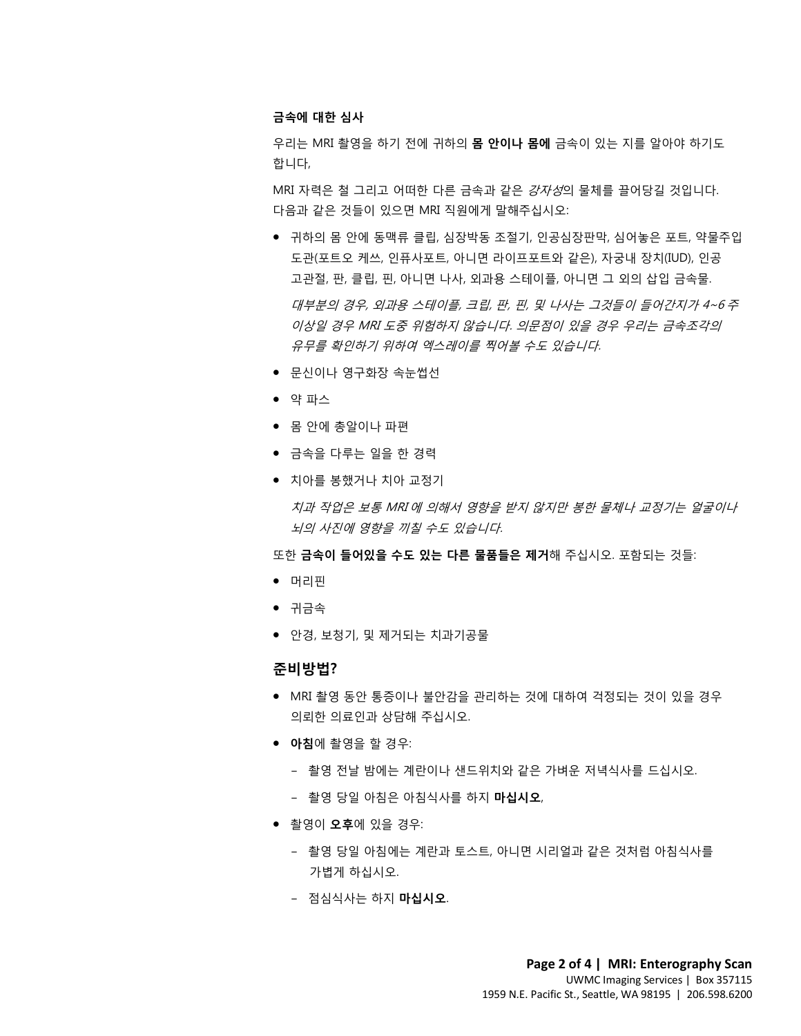### **금속에 대한 심사**

우리는 MRI 촬영을 하기 전에 귀하의 **몸 안이나 몸에** 금속이 있는 지를 알아야 하기도 합니다,

MRI 자력은 철 그리고 어떠한 다른 금속과 같은 강자성의 물체를 끌어당길 것입니다. 다음과 같은 것들이 있으면 MRI 직원에게 말해주십시오:

대부분의 경우, 외과용 스테이플, 크립, 판, 핀, 및 나사는 그것들이 들어간지가 4~6 주<br>이상일 경우 MRI 도중 위험하지 않습니다. 의문점이 있을 경우 우리는 금속조각의<br>유무를 확인하기 위하여 엑스레이를 찍어볼 수도 있습니다.<br>● 무시이나 역구하자 소누써서 • 귀하의 몸 안에 동맥류 클립, 심장박동 조절기, 인공심장판막, 심어놓은 포트, 약물주입 도관(포트오 케쓰, 인퓨사포트, 아니면 라이프포트와 같은), 자궁내 장치(IUD), 인공 고관절, 판, 클립, 핀, 아니면 나사, 외과용 스테이플, 아니면 그 외의 삽입 금속물. 이상일 경우 MRI 도중 위험하지 않습니다. 의문점이 있을 경우 우리는 금속조각의

유무를 확인하기 위하여 엑스레이를 찍어볼 수도 있습니다.

- 문신이나 영구화장 속눈썹선
- 약 파스
- 몸 안에 총알이나 파편
- 금속을 다루는 일을 한 경력
- 치아를 봉했거나 치아 교정기

● 약 파스<br>● 몸 안에 총알이나 파편<br>● 금속을 다루는 일을 한 경력<br>● 치아를 봉했거나 치아 교정기<br>*치과 작업은 보통 MRI 에 의해서 영향을 받지 않지만 봉한 물체나 교정기는 얼굴이니*<br>*뇌의 사진에 영향을 끼칠 수도 있습니다*. ● 금속을 다루는 일을 한 경력<br>● 치아를 봉했거나 치아 교정기<br>*치과 작업은 보통 MRI 에 의해서 영향을 받지 않지만 봉한 물체나 교정기는 얼굴이<br><br><br>또한 금속이 들어있을 수도 있는 다른 물품들은 제거해 주십시오. 포함되는 것들:<br>● 머리핀* 치과 작업은 보통 MRI 에 의해서 영향을 받지 않지만 봉한 물체나 교정기는 얼굴이나 뇌의 사진에 영향을 끼칠 수도 있습니다.

또한 **금속이 들어있을 수도 있는 다른 물품들은 제거**해 주십시오. 포함되는 것들:

- 머리핀
- 귀금속
- 안경, 보청기, 및 제거되는 치과기공물

### **준비방법?**

- MRI 촬영 동안 통증이나 불안감을 관리하는 것에 대하여 걱정되는 것이 있을 경우 의뢰한 의료인과 상담해 주십시오.
- **아침**에 촬영을 할 경우:
	- 촬영 전날 밤에는 계란이나 샌드위치와 같은 가벼운 저녁식사를 드십시오.
	- 촬영 당일 아침은 아침식사를 하지 **마십시오**,

- 촬영이 **오후**에 있을 경우:
	- 촬영 당일 아침에는 계란과 토스트, 아니면 시리얼과 같은 것처럼 아침식사를 가볍게 하십시오.
	- 점심식사는 하지 **마십시오**.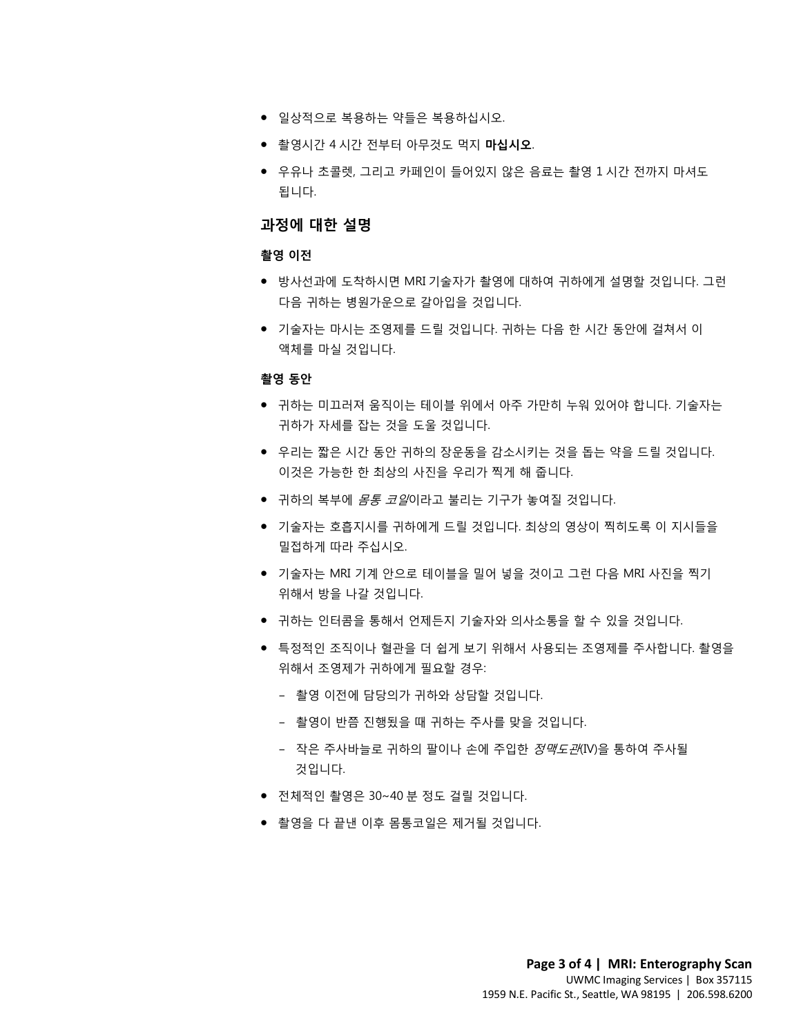- 일상적으로 복용하는 약들은 복용하십시오.
- 촬영시간 4 시간 전부터 아무것도 먹지 **마십시오**.
- 우유나 초콜렛, 그리고 카페인이 들어있지 않은 음료는 촬영 1 시간 전까지 마셔도 됩니다.

### **과정에 대한 설명**

#### **촬영 이전**

- 방사선과에 도착하시면 MRI 기술자가 촬영에 대하여 귀하에게 설명할 것입니다. 그런 다음 귀하는 병원가운으로 갈아입을 것입니다.
- 다음 귀하는 병원가운으로 갈아입을 것입니다.<br>● 기술자는 마시는 조영제를 드릴 것입니다. 귀하는 다음 한 시간 동안에 걸쳐서 이<br>액체를 마실 것입니다.<br>. • 기술자는 마시는 조영제를 드릴 것입니다. 귀하는 다음 한 시간 동안에 걸쳐서 이 액체를 마실 것입니다.

### **촬영 동안**

- 3 응단<br>● 귀하는 미끄러져 움직이는 테이블 위에서 아주 가만히 누워 있어야 합니다. 기술자는<br>귀하가 자세를 잡는 것을 도울 것입니다.<br>● 우리는 짧은 시간 동안 귀하의 장운동을 감소시키는 것을 돕는 약을 드릴 것입니다.<br>이것은 가능한 한 최상의 사진을 우리가 찍게 해 줍니다.<br>● 귀하의 복부에 *몸통 코일*이라고 불리는 기구가 놓여질 것입니다.<br>● 기술자는 호흡지시를 귀하에게 드릴 것입 • 귀하는 미끄러져 움직이는 테이블 위에서 아주 가만히 누워 있어야 합니다. 기술자는 귀하가 자세를 잡는 것을 도울 것입니다.
	- 우리는 짧은 시간 동안 귀하의 장운동을 감소시키는 것을 돕는 약을 드릴 것입니다. 이것은 가능한 한 최상의 사진을 우리가 찍게 해 줍니다.
	- 귀하의 복부에 *몸통 코일*이라고 불리는 기구가 놓여질 것입니다.
- 우리는 짧은 시간 동안 귀하의 장운동을 감소시키는 것을 돕는 약을 드릴 것입니다.<br>이것은 가능한 한 최상의 사진을 우리가 찍게 해 줍니다.<br>● 귀하의 복부에 *몸통 코일*이라고 불리는 기구가 놓여질 것입니다.<br>● 기술자는 호흡지시를 귀하에게 드릴 것입니다. 최상의 영상이 찍히도록 이 지시들을<br>밀접하게 따라 주십시오.<br>● 기술자는 MRI 기계 안으로 테이블을 밀어 넣을 것이고 그런 다음 M • 기술자는 호흡지시를 귀하에게 드릴 것입니다. 최상의 영상이 찍히도록 이 지시들을 밀접하게 따라 주십시오.
	- 기술자는 MRI 기계 안으로 테이블을 밀어 넣을 것이고 그런 다음 MRI 사진을 찍기 위해서 방을 나갈 것입니다.
	- 귀하는 인터콤을 통해서 언제든지 기술자와 의사소통을 할 수 있을 것입니다.
	- 특정적인 조직이나 혈관을 더 쉽게 보기 위해서 사용되는 조영제를 주사합니다. 촬영을 위해서 조영제가 귀하에게 필요할 경우:
		- 촬영 이전에 담당의가 귀하와 상담할 것입니다.
		- 촬영이 반쯤 진행됬을 때 귀하는 주사를 맞을 것입니다.
		- 작은 주사바늘로 귀하의 팔이나 손에 주입한 정맥도관(IV)을 통하여 주사될 것입니다.
	- 전체적인 촬영은 30~40 분 정도 걸릴 것입니다.
	- 촬영을 다 끝낸 이후 몸통코일은 제거될 것입니다.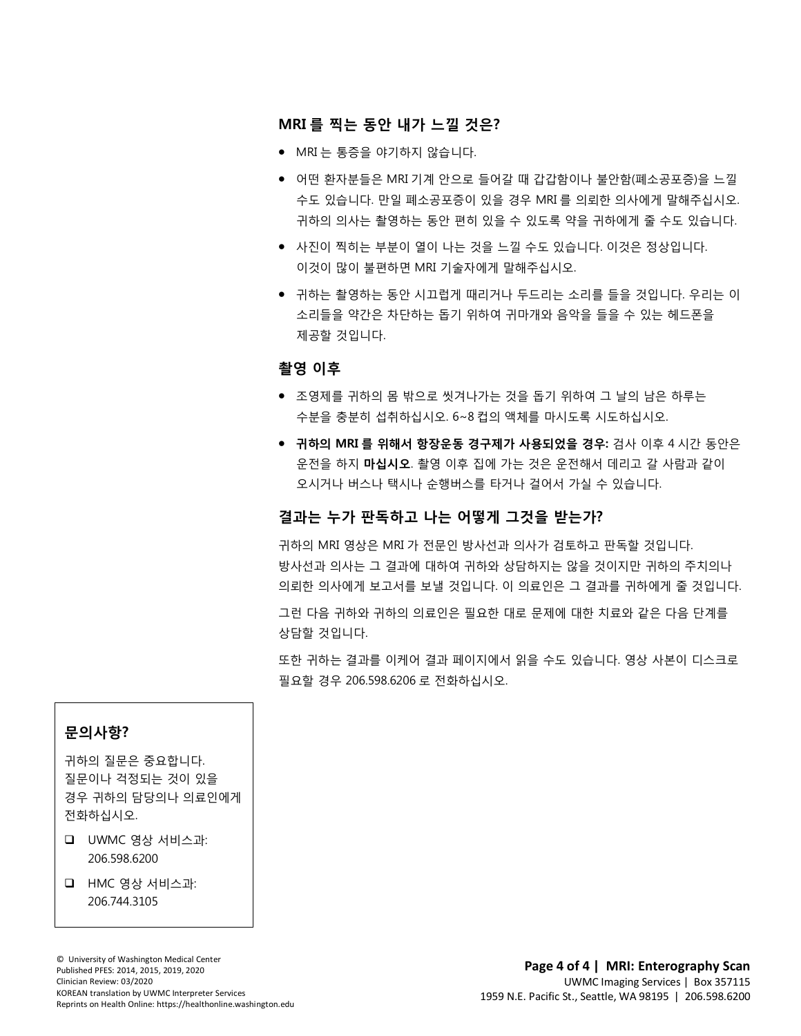### **MRI 를 찍는 동안 내가 느낄 것은?**

- MRI 는 통증을 야기하지 않습니다.
- 어떤 환자분들은 MRI 기계 안으로 들어갈 때 갑갑함이나 불안함(폐소공포증)을 느낄 수도 있습니다. 만일 폐소공포증이 있을 경우 MRI 를 의뢰한 의사에게 말해주십시오. 귀하의 의사는 촬영하는 동안 편히 있을 수 있도록 약을 귀하에게 줄 수도 있습니다.
- 사진이 찍히는 부분이 열이 나는 것을 느낄 수도 있습니다. 이것은 정상입니다. 이것이 많이 불편하면 MRI 기술자에게 말해주십시오.
- ''1이는 할 8이는 8년 시포법에 떼리키의 구드되는 포티를 불을 것입니다. 구리는 이<br>소리들을 약간은 차단하는 돕기 위하여 귀마개와 음악을 들을 수 있는 헤드폰을<br>제공할 것입니다.<br>**촬영 이후** • 귀하는 촬영하는 동안 시끄럽게 때리거나 두드리는 소리를 들을 것입니다. 우리는 이 소리들을 약간은 차단하는 돕기 위하여 귀마개와 음악을 들을 수 있는 헤드폰을 제공할 것입니다.

### **촬영 이후**

- 조영제를 귀하의 몸 밖으로 씻겨나가는 것을 돕기 위하여 그 날의 남은 하루는 수분을 충분히 섭취하십시오. 6~8 컵의 액체를 마시도록 시도하십시오.
- 조영제를 귀하의 몸 밖으로 씻겨나가는 것을 돕기 위하여 그 날의 남은 하루는<br>수분을 충분히 섭취하십시오. 6~8 컵의 액체를 마시도록 시도하십시오.<br>● **귀하의 MRI 를 위해서 항장운동 경구제가 사용되었을 경우:** 검사 이후 4 시간 동안은<br>운전을 하지 **마십시오**. 촬영 이후 집에 가는 것은 운전해서 데리고 갈 사람과 같이<br>오시거나 버스나 택시나 순행버스를 타거나 걸어서 가실 수 있습 • **귀하의 MRI 를 위해서 항장운동 경구제가 사용되었을 경우:** 검사 이후 4 시간 동(<br>운전을 하지 **마십시오**. 촬영 이후 집에 가는 것은 운전해서 데리고 갈 사람과 같이<br>오시거나 버스나 택시나 순행버스를 타거나 걸어서 가실 수 있습니다.<br>**결과는 누가 판독하고 나는 어떻게 그것을 받는가?**<br>귀하의 MRI 영상은 MRI 가 전문인 방사선과 의사가 검토하고 판독할 것입니다.<br>방사선과 의사 • **귀하의 MRI 를 위해서 항장운동 경구제가 사용되었을 경우:** 검사 이후 4 시간 동안은 운전을 하지 **마십시오**. 촬영 이후 집에 가는 것은 운전해서 데리고 갈 사람과 같이 오시거나 버스나 택시나 순행버스를 타거나 걸어서 가실 수 있습니다.

### **결과는 누가 판독하고 나는 어떻게 그것을 받는가?**

 $\_$  ,  $\_$  ,  $\_$  ,  $\_$  ,  $\_$  ,  $\_$  ,  $\_$  ,  $\_$  ,  $\_$  ,  $\_$  ,  $\_$  ,  $\_$  ,  $\_$  ,  $\_$  ,  $\_$  ,  $\_$  ,  $\_$  ,  $\_$  ,  $\_$  ,  $\_$  ,  $\_$  ,  $\_$  ,  $\_$  ,  $\_$  ,  $\_$  ,  $\_$  ,  $\_$  ,  $\_$  ,  $\_$  ,  $\_$  ,  $\_$  ,  $\_$  ,  $\_$  ,  $\_$  ,  $\_$  ,  $\_$  ,  $\_$  ,

귀하의 MRI 영상은 MRI 가 전문인 방사선과 의사가 검토하고 판독할 것입니다. 방사선과 의사는 그 결과에 대하여 귀하와 상담하지는 않을 것이지만 귀하의 주치의나 의뢰한 의사에게 보고서를 보낼 것입니다. 이 의료인은 그 결과를 귀하에게 줄 것입니다.

그런 다음 귀하와 귀하의 의료인은 필요한 대로 문제에 대한 치료와 같은 다음 단계를 상담할 것입니다.

또한 귀하는 결과를 이케어 결과 페이지에서 읽을 수도 있습니다. 영상 사본이 디스크로 필요할 경우 206.598.6206 로 전화하십시오.

### **문의사항?**

귀하의 질문은 중요합니다. 질문이나 걱정되는 것이 있을 경우 귀하의 담당의나 의료인에게 전화하십시오.

- UWMC 영상 서비스과: 206.598.6200
- HMC 영상 서비스과: 206.744.3105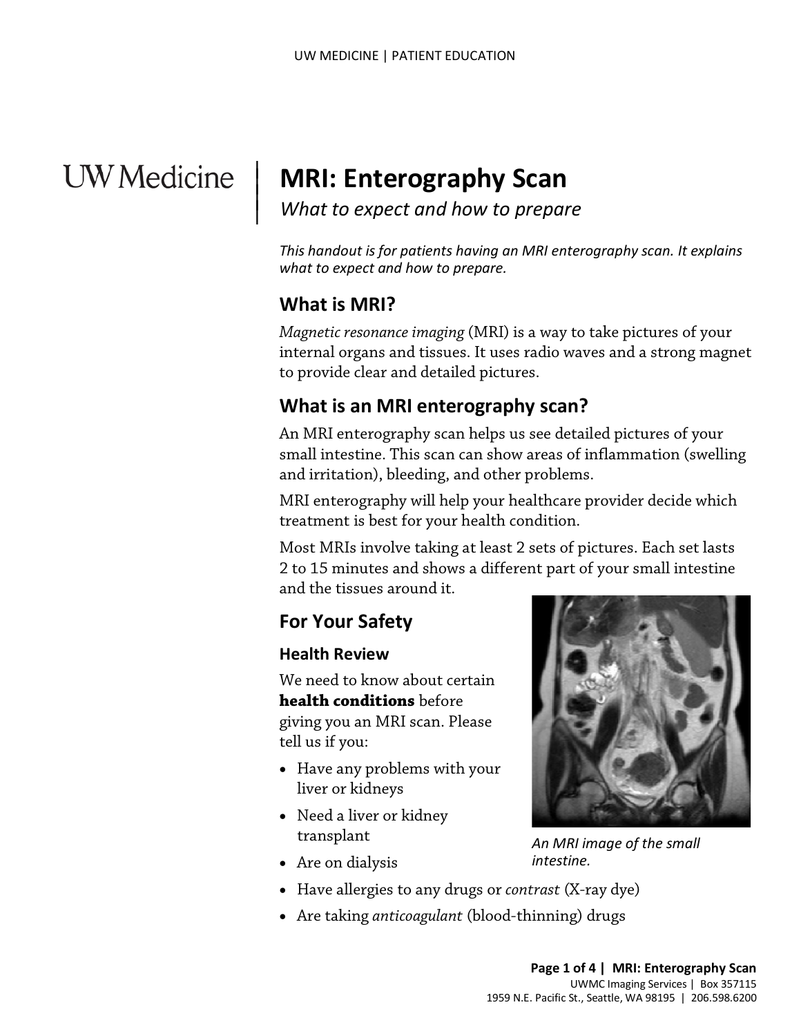# **UW** Medicine

## **MRI: Enterography Scan**

*What to expect and how to prepare*

*This handout is for patients having an MRI enterography scan. It explains what to expect and how to prepare.*

## **What is MRI?**

|  $\vert$  $\vert$  $\vert$ 

> *Magnetic resonance imaging* (MRI) is a way to take pictures of your internal organs and tissues. It uses radio waves and a strong magnet to provide clear and detailed pictures.

## **What is an MRI enterography scan?**

to provide clear and detailed pictures.<br> **What is an MRI enterography scan?**<br>
An MRI enterography scan helps us see detailed pictures of your<br>
small intestine. This scan can show areas of inflammation (swell<br>
and irritatio An MRI enterography scan helps us see detailed pictures of your small intestine. This scan can show areas of inflammation (swelling and irritation), bleeding, and other problems.

MRI enterography will help your healthcare provider decide which treatment is best for your health condition.

Most MRIs involve taking at least 2 sets of pictures. Each set lasts 2 to 15 minutes and shows a different part of your small intestine and the tissues around it.

## **For Your Safety**

### **Health Review**

We need to know about certain **health conditions** before giving you an MRI scan. Please tell us if you:

- Have any problems with your liver or kidneys
- Need a liver or kidney transplant
- Are on dialysis
- Have allergies to any drugs or *contrast* (X-ray dye)
- Are taking *anticoagulant* (blood-thinning) drugs

 $\_$  ,  $\_$  ,  $\_$  ,  $\_$  ,  $\_$  ,  $\_$  ,  $\_$  ,  $\_$  ,  $\_$  ,  $\_$  ,  $\_$  ,  $\_$  ,  $\_$  ,  $\_$  ,  $\_$  ,  $\_$  ,  $\_$  ,  $\_$  ,  $\_$  ,  $\_$  ,  $\_$  ,  $\_$  ,  $\_$  ,  $\_$  ,  $\_$  ,  $\_$  ,  $\_$  ,  $\_$  ,  $\_$  ,  $\_$  ,  $\_$  ,  $\_$  ,  $\_$  ,  $\_$  ,  $\_$  ,  $\_$  ,  $\_$  ,



*An MRI image of the small* 

*intestine.*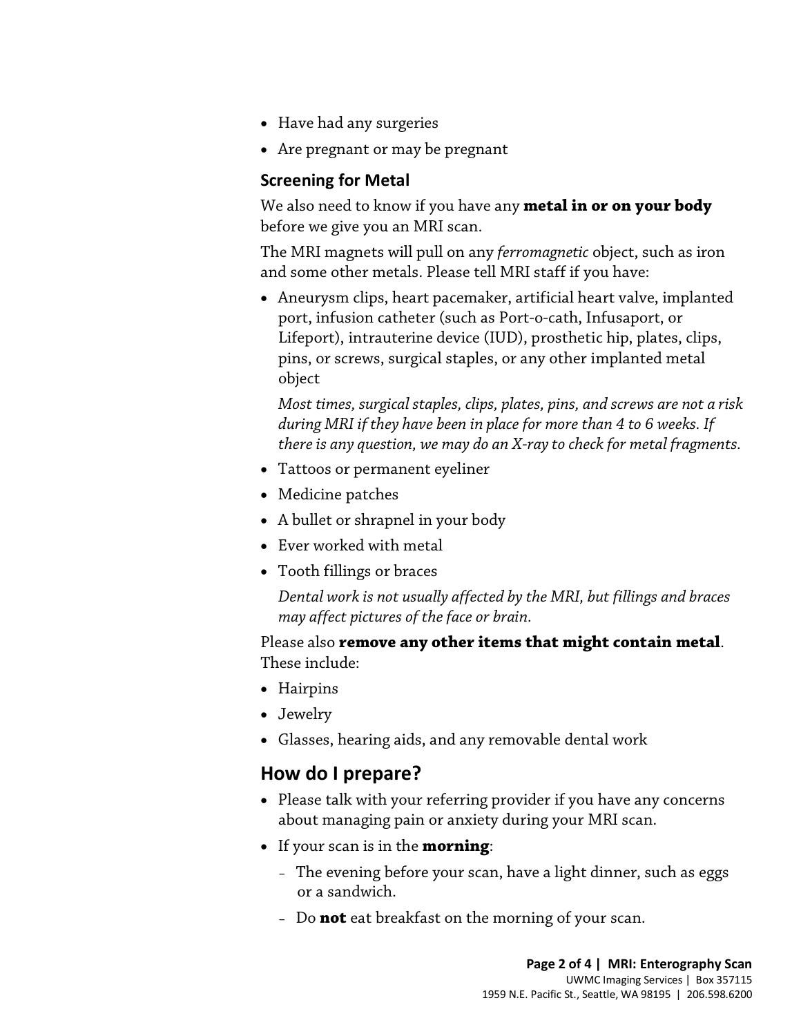- Have had any surgeries
- Are pregnant or may be pregnant

### **Screening for Metal**

We also need to know if you have any **metal in or on your body** before we give you an MRI scan.

The MRI magnets will pull on any *ferromagnetic* object, such as iron and some other metals. Please tell MRI staff if you have:

• Aneurysm clips, heart pacemaker, artificial heart valve, implanted port, infusion catheter (such as Port-o-cath, Infusaport, or Lifeport), intrauterine device (IUD), prosthetic hip, plates, clips, pins, or screws, surgical staples, or any other implanted metal object

Most times, surgical staples, clips, plates, pins, and screws are not a rise during MRI if they have been in place for more than 4 to 6 weeks. If there is any question, we may do an X-ray to check for metal fragments<br>• Tat *Most times, surgical staples, clips, plates, pins, and screws are not a risk during MRI if they have been in place for more than 4 to 6 weeks. If there is any question, we may do an X-ray to check for metal fragments.* 

- Tattoos or permanent eyeliner
- Medicine patches
- A bullet or shrapnel in your body
- Ever worked with metal
- Tooth fillings or braces

*Dental work is not usually affected by the MRI, but fillings and braces may affect pictures of the face or brain.*

Please also **remove any other items that might contain metal**. These include:

- Hairpins
- Jewelry
- Glasses, hearing aids, and any removable dental work

## **How do I prepare?**

- Please talk with your referring provider if you have any concerns about managing pain or anxiety during your MRI scan.
- If your scan is in the **morning**:

- The evening before your scan, have a light dinner, such as eggs or a sandwich.
- Do **not** eat breakfast on the morning of your scan.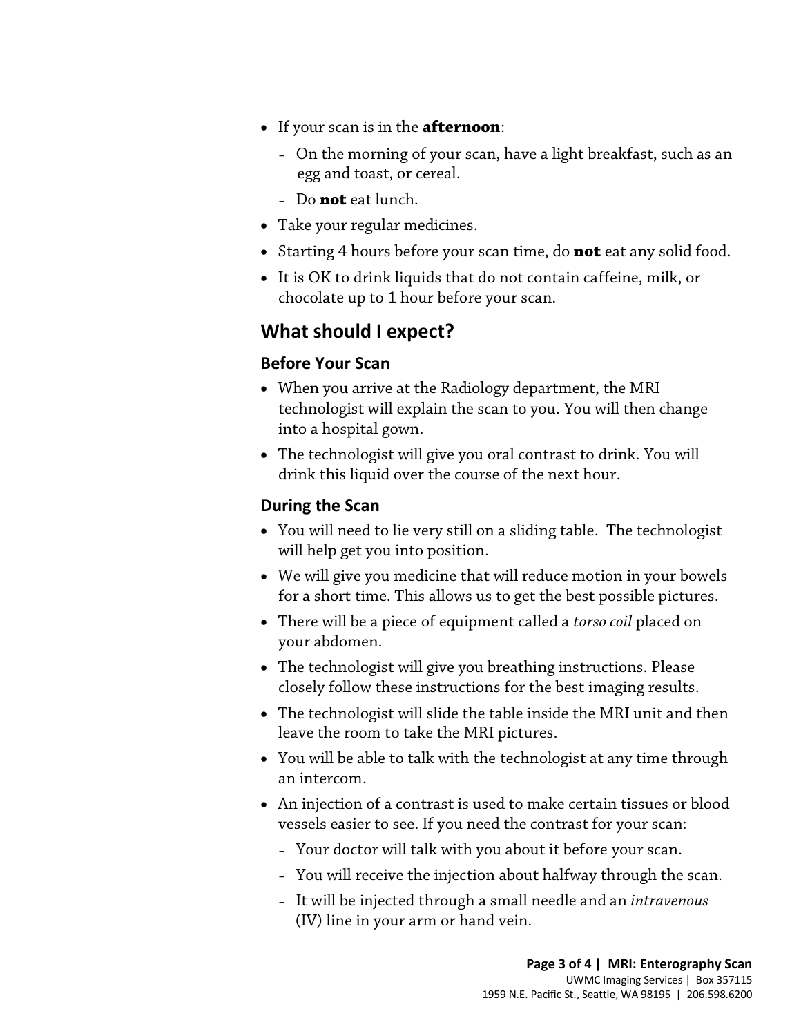- If your scan is in the **afternoon**:
	- On the morning of your scan, have a light breakfast, such as an egg and toast, or cereal.
	- Do **not** eat lunch.
- Take your regular medicines.
- Starting 4 hours before your scan time, do **not** eat any solid food.
- It is OK to drink liquids that do not contain caffeine, milk, or chocolate up to 1 hour before your scan.

## **What should I expect?**

## **Before Your Scan**

- When you arrive at the Radiology department, the MRI<br>technologist will explain the scan to you. You will then change<br>into a hospital gown.<br>• The technologist will give you oral contrast to drink. You will<br>drink this liqu • When you arrive at the Radiology department, the MRI technologist will explain the scan to you. You will then change into a hospital gown.
	- The technologist will give you oral contrast to drink. You will drink this liquid over the course of the next hour.

## **During the Scan**

- You will need to lie very still on a sliding table. The technologist will help get you into position.
- We will give you medicine that will reduce motion in your bowels for a short time. This allows us to get the best possible pictures.
- There will be a piece of equipment called a *torso coil* placed on your abdomen.
- The technologist will give you breathing instructions. Please closely follow these instructions for the best imaging results.
- The technologist will slide the table inside the MRI unit and then leave the room to take the MRI pictures.
- You will be able to talk with the technologist at any time through an intercom.
- An injection of a [contrast](javascript:glossAry() is used to make certain tissues or blood vessels easier to see. If you need the contrast for your scan:
	- Your doctor will talk with you about it before your scan.

- You will receive the injection about halfway through the scan.
- It will be injected through a small needle and an *intravenous* (IV) line in your arm or hand vein.